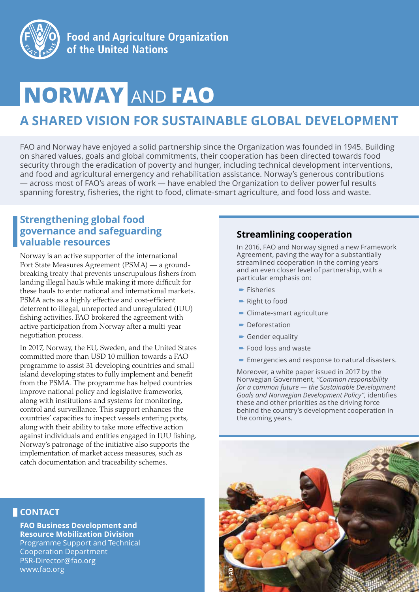

# **NORWAY** AND **FAO**

# **A SHARED VISION FOR SUSTAINABLE GLOBAL DEVELOPMENT**

FAO and Norway have enjoyed a solid partnership since the Organization was founded in 1945. Building on shared values, goals and global commitments, their cooperation has been directed towards food security through the eradication of poverty and hunger, including technical development interventions, and food and agricultural emergency and rehabilitation assistance. Norway's generous contributions — across most of FAO's areas of work — have enabled the Organization to deliver powerful results spanning forestry, fisheries, the right to food, climate-smart agriculture, and food loss and waste.

# **Strengthening global food governance and safeguarding valuable resources**

Norway is an active supporter of the international Port State Measures Agreement (PSMA) — a groundbreaking treaty that prevents unscrupulous fishers from landing illegal hauls while making it more difficult for these hauls to enter national and international markets. PSMA acts as a highly effective and cost-efficient deterrent to illegal, unreported and unregulated (IUU) fishing activities. FAO brokered the agreement with active participation from Norway after a multi-year negotiation process.

In 2017, Norway, the EU, Sweden, and the United States committed more than USD 10 million towards a FAO programme to assist 31 developing countries and small island developing states to fully implement and benefit from the PSMA. The programme has helped countries improve national policy and legislative frameworks, along with institutions and systems for monitoring, control and surveillance. This support enhances the countries' capacities to inspect vessels entering ports, along with their ability to take more effective action against individuals and entities engaged in IUU fishing. Norway's patronage of the initiative also supports the implementation of market access measures, such as catch documentation and traceability schemes.

# **Streamlining cooperation**

In 2016, FAO and Norway signed a new Framework Agreement, paving the way for a substantially streamlined cooperation in the coming years and an even closer level of partnership, with a particular emphasis on:

- ➨ Fisheries
- **► Right to food**
- **► Climate-smart agriculture**
- ➨ Deforestation
- **► Gender equality**
- ➨ Food loss and waste
- **► Emergencies and response to natural disasters.**

Moreover, a white paper issued in 2017 by the Norwegian Government, *"Common responsibility for a common future — the Sustainable Development Goals and Norwegian Development Policy",* identifies these and other priorities as the driving force behind the country's development cooperation in the coming years.



#### **CONTACT**

**FAO Business Development and Resource Mobilization Division** Programme Support and Technical Cooperation Department PSR-Director@fao.org www.fao.org